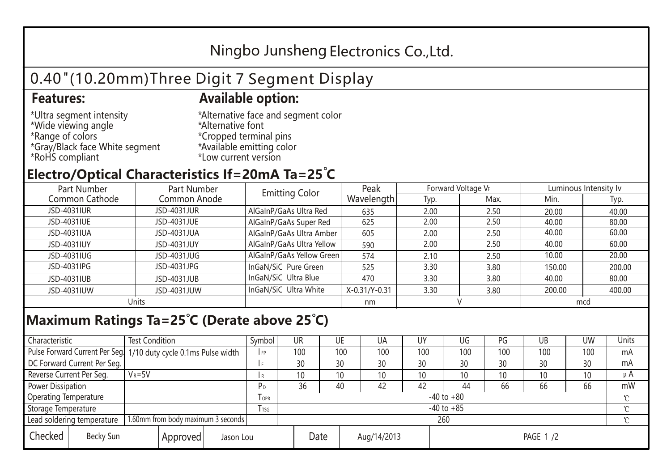## Ningbo Junsheng Electronics Co.,Ltd.

# 0.40"(10.20mm)Three Digit 7 Segment Display

#### **Features: Available option:**

- \*Ultra segment intensity \*Wide viewing angle \*Range of colors \*Gray/Black face White segment \*RoHS compliant
- \*Alternative face and segment color \*Alternative font \*Cropped terminal pins \*Available emitting color \*Low current version

### **Electro/Optical Characteristics If=20mA Ta=25 C**

| Part Number<br>Part Number |              | <b>Emitting Color</b>     | Peak          | Forward Voltage VF |      | Luminous Intensity lv |        |  |
|----------------------------|--------------|---------------------------|---------------|--------------------|------|-----------------------|--------|--|
| Common Cathode             | Common Anode |                           | Wavelength    | Typ.               | Max. | Min.                  | Typ.   |  |
| JSD-4031IUR                | JSD-4031JUR  | AlGaInP/GaAs Ultra Red    | 635           | 2.00               | 2.50 | 20.00                 | 40.00  |  |
| JSD-4031IUE                | JSD-4031JUE  | AlGaInP/GaAs Super Red    | 625           | 2.00               | 2.50 | 40.00                 | 80.00  |  |
| JSD-4031IUA                | JSD-4031JUA  | AlGaInP/GaAs Ultra Amber  | 605           | 2.00               | 2.50 | 40.00                 | 60.00  |  |
| JSD-4031IUY                | JSD-4031JUY  | AlGaInP/GaAs Ultra Yellow | 590           | 2.00               | 2.50 | 40.00                 | 60.00  |  |
| JSD-4031IUG                | JSD-4031JUG  | AlGaInP/GaAs Yellow Green | 574           | 2.10               | 2.50 | 10.00                 | 20.00  |  |
| JSD-4031IPG                | JSD-4031JPG  | InGaN/SiC Pure Green      | 525           | 3.30               | 3.80 | 150.00                | 200.00 |  |
| JSD-4031IUB                | JSD-4031JUB  | InGaN/SiC Ultra Blue      | 470           | 3.30               | 3.80 | 40.00                 | 80.00  |  |
| JSD-4031IUW                | JSD-4031JUW  | InGaN/SiC Ultra White     | X-0.31/Y-0.31 | 3.30               | 3.80 | 200.00                | 400.00 |  |
| Units                      |              |                           | nm            |                    |      | mcd                   |        |  |

#### **Maximum Ratings Ta=25°C (Derate above 25°C)**

| Characteristic                                |            | <b>Test Condition</b><br>Symbol                                  |                     |                | <b>UR</b>       |                 | UE       | UA  | UY  | UG  | PG  | UB              | <b>UW</b> | <b>Units</b> |  |
|-----------------------------------------------|------------|------------------------------------------------------------------|---------------------|----------------|-----------------|-----------------|----------|-----|-----|-----|-----|-----------------|-----------|--------------|--|
|                                               |            | Pulse Forward Current Per Seg. 1/10 duty cycle 0.1ms Pulse width |                     |                | 100             |                 | 100      | 100 | 100 | 100 | 100 | 100             | 100       | mA           |  |
| DC Forward Current Per Seg.                   |            |                                                                  |                     |                | 30              |                 | 30       | 30  | 30  | 30  | 30  | 30              | 30        | mA           |  |
| Reverse Current Per Seg.                      | $V_R = 5V$ |                                                                  |                     | R              | 10 <sup>°</sup> |                 | 10       | 10  | 10  | 10  | 10  | 10 <sup>°</sup> | 10        | $\mu$ A      |  |
| <b>Power Dissipation</b>                      |            |                                                                  |                     |                | 36              |                 | 40       | 42  | 42  | 44  | 66  | 66              | 66        | mW           |  |
| <b>Operating Temperature</b>                  |            |                                                                  | <b>OPR</b>          | $-40$ to $+80$ |                 |                 |          |     |     |     |     |                 | $\sim$    |              |  |
| Storage Temperature                           |            | l tsg                                                            | $-40$ to $+85$      |                |                 |                 |          |     |     |     |     | $\gamma$        |           |              |  |
| Lead soldering temperature                    |            | 1.60mm from body maximum 3 seconds                               |                     |                |                 | 260<br>$\gamma$ |          |     |     |     |     |                 |           |              |  |
| Checked<br>Becky Sun<br>Approved<br>Jason Lou |            |                                                                  | Date<br>Aug/14/2013 |                |                 |                 | PAGE 1/2 |     |     |     |     |                 |           |              |  |